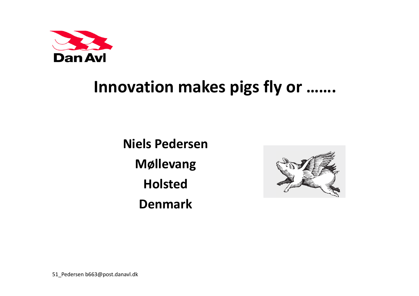

## **Innovation makes pigs fly or …….**

**Niels PedersenMøllevang Holsted Denmark**

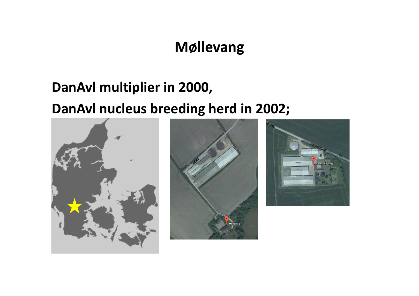## **Møllevang**

#### **DanAvl multiplier in 2000,**

#### **DanAvl nucleus breeding herd in 2002;**





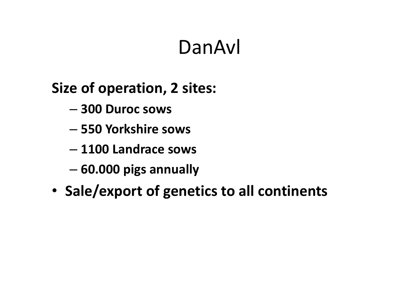# DanAvl

## **Size of operation, 2 sites:**

- **300 Duroc sows**
- **550 Yorkshire sows**
- **1100 Landrace sows**
- –**60.000 pigs annually**
- •**Sale/export of genetics to all continents**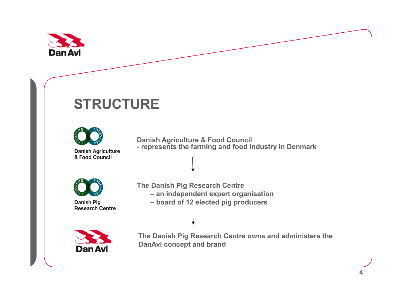

## **STRUCTURE**



**Danish Agriculture & Food Council - represents the farming and food industry in Denmark**



**Danish Pig Research Centre**  **The Danish Pig Research Centre – an independent expert organisation – board of 12 elected pig producers**



**The Danish Pig Research Centre owns and administers the DanAvl concept and brand**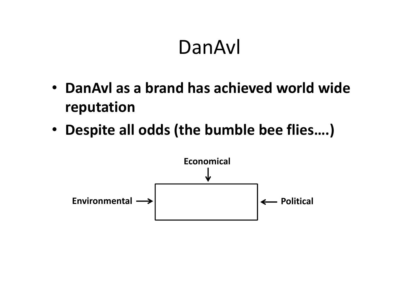# DanAvl

- **DanAvl as a brand has achieved world wide reputation**
- **Despite all odds (the bumble bee flies….)**

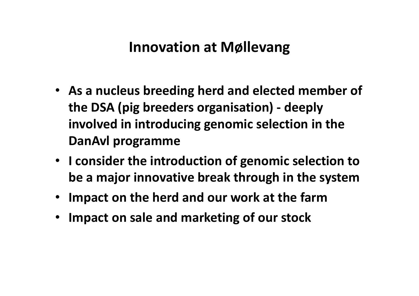### **Innovation at Møllevang**

- **As a nucleus breeding herd and elected member of the DSA (pig breeders organisation) ‐ deeply involved in introducing genomic selection in the DanAvl programme**
- **I consider the introduction of genomic selection to be a major innovative break through in the system**
- •**Impact on the herd and our work at the farm**
- •**Impact on sale and marketing of our stock**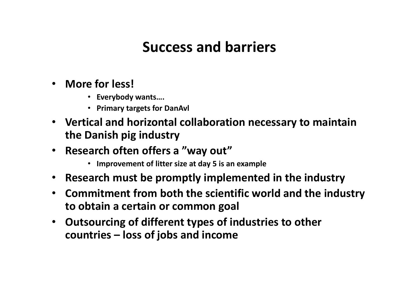### **Success and barriers**

- **More for less!**
	- **Everybody wants….**
	- **Primary targets for DanAvl**
- **Vertical and horizontal collaboration necessary to maintain the Danish pig industry**
- **Research often offers <sup>a</sup> "way out"**
	- **Improvement of litter size at day 5 is an example**
- **Research must be promptly implemented in the industry**
- $\bullet$  **Commitment from both the scientific world and the industry to obtain <sup>a</sup> certain or common goal**
- $\bullet$  **Outsourcing of different types of industries to other countries – loss of jobs and income**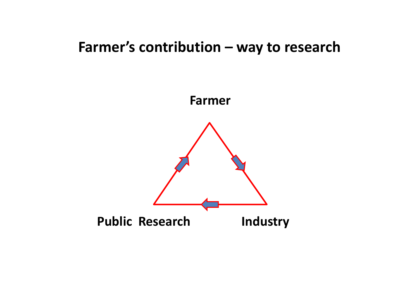#### **Farmer's contribution – way to research**